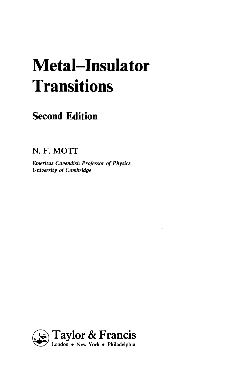## **Metal-Insulator Transitions**

## **Second Edition**

**N. F. MOTT** 

*Emeritus Cavendish Professor of Physics University of Cambridge* 

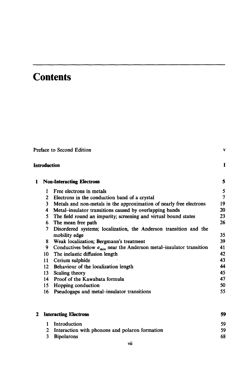## **Contents**

|   | Introduction     |                                                                                |     |
|---|------------------|--------------------------------------------------------------------------------|-----|
| 1 |                  | <b>Non-Interacting Electrons</b>                                               | 5   |
|   | 1                | Free electrons in metals                                                       | 5   |
|   | 2                | Electrons in the conduction band of a crystal                                  | 7   |
|   | 3                | Metals and non-metals in the approximation of nearly free electrons            | 19  |
|   | 4                | Metal–insulator transitions caused by overlapping bands                        | 20  |
|   | 5                | The field round an impurity; screening and virtual bound states                | 23  |
|   | 6                | The mean free path                                                             | 26  |
|   | 7                | Disordered systems; localization, the Anderson transition and the              |     |
|   |                  | mobility edge                                                                  | 35  |
|   | 8.               | Weak localization; Bergmann's treatment                                        | 39  |
|   | 9                | Conductives below $\sigma_{\min}$ near the Anderson metal-insulator transition | 41  |
|   | 10               | The inelastic diffusion length                                                 | 42  |
|   | 11               | Cerium sulphide                                                                | 43  |
|   | 12 <sup>12</sup> | Behaviour of the localization length                                           | 44  |
|   | 13               | Scaling theory                                                                 | 45  |
|   | 14               | Proof of the Kawabata formula                                                  | 47  |
|   | 15               | Hopping conduction                                                             | 50  |
|   | 16               | Pseudogaps and metal-insulator transitions                                     | 55. |

|                   | 59                                                                                     |  |
|-------------------|----------------------------------------------------------------------------------------|--|
| Introduction      | 59                                                                                     |  |
|                   | 59                                                                                     |  |
| <b>Bipolarons</b> | 68                                                                                     |  |
|                   | 2 Interacting Electrons<br>1.<br>2 Interaction with phonons and polaron formation<br>3 |  |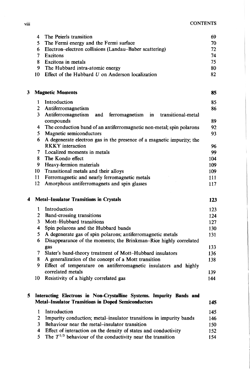|   | 4              | The Peierls transition                                                                           | 69         |
|---|----------------|--------------------------------------------------------------------------------------------------|------------|
|   | 5              | The Fermi energy and the Fermi surface                                                           | 70         |
|   | 6              | Electron-electron collisions (Landau-Baber scattering)                                           | 72         |
|   | 7              | <b>Excitons</b>                                                                                  | 74         |
|   | 8              | Excitons in metals                                                                               | 75         |
|   | 9              | The Hubbard intra-atomic energy                                                                  | 80         |
|   | 10             | Effect of the Hubbard $U$ on Anderson localization                                               | 82         |
| 3 |                | <b>Magnetic Moments</b>                                                                          | 85         |
|   | 1              | Introduction                                                                                     | 85.        |
|   | $\overline{c}$ | Antiferromagnetism                                                                               | 86         |
|   | 3              | Antiferromagnetism<br>and<br>ferromagnetism<br>in<br>transitional-metal<br>compounds             | 89         |
|   | 4              | The conduction band of an antiferromagnetic non-metal; spin polarons                             | 92         |
|   | 5.             | Magnetic semiconductors                                                                          | 93         |
|   | 6              | A degenerate electron gas in the presence of a magnetic impurity; the<br><b>RKKY</b> interaction | 96         |
|   | 7              | Localized moments in metals                                                                      | 99         |
|   | 8              | The Kondo effect                                                                                 | 104        |
|   | 9              | Heavy-fermion materials                                                                          | 109        |
|   | 10             | Transitional metals and their alloys                                                             | 109        |
|   | 11             | Ferromagnetic and nearly ferromagnetic metals                                                    | 111        |
|   | 12             | Amorphous antiferromagnets and spin glasses                                                      | 117        |
| 4 |                | <b>Metal-Insulator Transitions in Crystals</b>                                                   | 123        |
|   | 1              | Introduction                                                                                     | 123        |
|   | $\overline{c}$ | <b>Band-crossing transitions</b>                                                                 | 124        |
|   | 3              | Mott-Hubbard transitions                                                                         | 127        |
|   | 4              | Spin polarons and the Hubbard bands                                                              | 130        |
|   | 5              | A degenerate gas of spin polarons; antiferromagnetic metals                                      | 131        |
|   | 6              | Disappearance of the moments; the Brinkman-Rice highly correlated                                |            |
|   |                | gas                                                                                              | 133        |
|   | 7              | Slater's band-theory treatment of Mott-Hubbard insulators                                        | 136        |
|   | 8<br>9         | A generalization of the concept of a Mott transition                                             | 138        |
|   |                | Effect of temperature on antiferromagnetic insulators and highly<br>correlated metals            |            |
|   | 10             | Resistivity of a highly correlated gas                                                           | 139<br>144 |
|   |                |                                                                                                  |            |
| 5 |                | Interacting Electrons in Non-Crystalline Systems. Impurity Bands and                             |            |
|   |                | <b>Metal-Insulator Transitions in Doped Semiconductors</b>                                       | 145        |
|   | 1              | Introduction                                                                                     | 145        |
|   | $\mathbf{2}$   | Impurity conduction; metal-insulator transitions in impurity bands                               | 146        |
|   | 3              | Behaviour near the metal-insulator transition                                                    | 150        |
|   | 4              | Effect of interaction on the density of states and conductivity                                  | 152        |

5 The  $T^{1/3}$  behaviour of the conductivity near the transition 154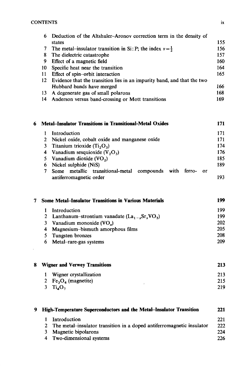$\mathcal{A}^{\text{max}}$ 

| 6  | Deduction of the Altshuler-Aronov correction term in the density of     |     |
|----|-------------------------------------------------------------------------|-----|
|    | states                                                                  | 155 |
| 7  | The metal-insulator transition in Si: P; the index $v = \frac{1}{2}$    | 156 |
| 8  | The dielectric catastrophe                                              | 157 |
| 9  | Effect of a magnetic field                                              | 160 |
| 10 | Specific heat near the transition                                       | 164 |
| 11 | Effect of spin-orbit interaction                                        | 165 |
| 12 | Evidence that the transition lies in an impurity band, and that the two |     |
|    | Hubbard bands have merged                                               | 166 |
| 13 | A degenerate gas of small polarons                                      | 168 |
| 14 | Anderson versus band-crossing or Mott transitions                       | 169 |
|    |                                                                         |     |

| 6. | <b>Metal–Insulator Transitions in Transitional-Metal Oxides</b><br>171                          |     |
|----|-------------------------------------------------------------------------------------------------|-----|
|    | Introduction                                                                                    | 171 |
|    | 2 Nickel oxide, cobalt oxide and manganese oxide                                                | 171 |
|    | 3 Titanium trioxide $(T_i, O_3)$                                                                | 174 |
|    | 4 Vanadium sesquioxide $(V, O3)$                                                                | 176 |
|    | 5 Vanadium dioxide $(VO_2)$                                                                     | 185 |
|    | 6 Nickel sulphide (NiS)                                                                         | 189 |
|    | Some metallic transitional-metal compounds<br>with<br>ferro-<br>- or<br>antiferromagnetic order | 193 |

| <b>Some Metal–Insulator Transitions in Various Materials</b> | 199                                               |     |
|--------------------------------------------------------------|---------------------------------------------------|-----|
|                                                              | Introduction                                      | 199 |
|                                                              | 2 Lanthanum-strontium vanadate $(La_1, Sr_vVO_s)$ | 199 |
|                                                              | 3 Vanadium monoxide $(VOx)$                       | 202 |
|                                                              | 4 Magnesium-bismuth amorphous films               | 205 |
|                                                              | 5 Tungsten bronzes                                | 208 |
|                                                              | 6 Metal-rare-gas systems                          | 209 |

| 8 | <b>Wigner and Verwey Transitions</b> | 213 |
|---|--------------------------------------|-----|
|   | Wigner crystallization<br>1          | 213 |
|   | 2 $Fe3O4$ (magnetite)                | 215 |
|   | $3$ $Ti4O7$                          | 219 |

| 9 High-Temperature Superconductors and the Metal-Insulator Transition |                                                                         |     |
|-----------------------------------------------------------------------|-------------------------------------------------------------------------|-----|
| 1.                                                                    | Introduction                                                            | 221 |
|                                                                       | 2 The metal-insulator transition in a doped antiferromagnetic insulator | 222 |
| 3.                                                                    | Magnetic bipolarons                                                     | 224 |
|                                                                       | 4 Two-dimensional systems                                               | 226 |